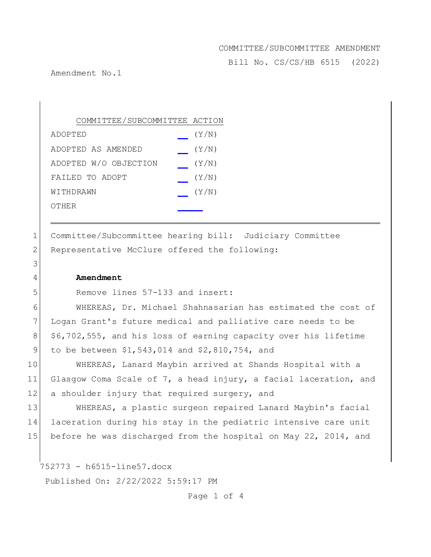Bill No. CS/CS/HB 6515 (2022)

Amendment No.1

| COMMITTEE/SUBCOMMITTEE ACTION |       |
|-------------------------------|-------|
| ADOPTED                       | (Y/N) |
| ADOPTED AS AMENDED            | (Y/N) |
| ADOPTED W/O OBJECTION         | (Y/N) |
| FAILED TO ADOPT               | (Y/N) |
| WITHDRAWN                     | (Y/N) |
| OTHER                         |       |
|                               |       |

1 Committee/Subcommittee hearing bill: Judiciary Committee 2 Representative McClure offered the following:

### 4 **Amendment**

3

5 Remove lines 57-133 and insert:

 WHEREAS, Dr. Michael Shahnasarian has estimated the cost of Logan Grant's future medical and palliative care needs to be 8 \$6,702,555, and his loss of earning capacity over his lifetime to be between \$1,543,014 and \$2,810,754, and

10 WHEREAS, Lanard Maybin arrived at Shands Hospital with a 11 Glasgow Coma Scale of 7, a head injury, a facial laceration, and 12 a shoulder injury that required surgery, and

13 WHEREAS, a plastic surgeon repaired Lanard Maybin's facial 14 laceration during his stay in the pediatric intensive care unit 15 before he was discharged from the hospital on May 22, 2014, and

752773 - h6515-line57.docx

Published On: 2/22/2022 5:59:17 PM

Page 1 of 4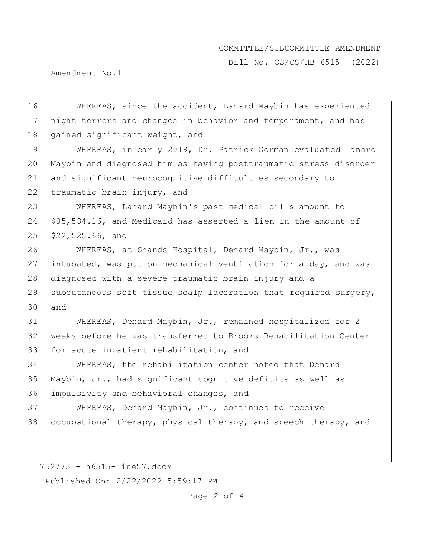Bill No. CS/CS/HB 6515 (2022)

Amendment No.1

16 WHEREAS, since the accident, Lanard Maybin has experienced 17 night terrors and changes in behavior and temperament, and has 18 gained significant weight, and

19 WHEREAS, in early 2019, Dr. Patrick Gorman evaluated Lanard 20 Maybin and diagnosed him as having posttraumatic stress disorder 21 and significant neurocognitive difficulties secondary to 22 traumatic brain injury, and

23 WHEREAS, Lanard Maybin's past medical bills amount to 24 \$35,584.16, and Medicaid has asserted a lien in the amount of 25 \$22,525.66, and

26 WHEREAS, at Shands Hospital, Denard Maybin, Jr., was 27 intubated, was put on mechanical ventilation for a day, and was 28 diagnosed with a severe traumatic brain injury and a 29 subcutaneous soft tissue scalp laceration that required surgery, 30 and

31 WHEREAS, Denard Maybin, Jr., remained hospitalized for 2 32 weeks before he was transferred to Brooks Rehabilitation Center 33 for acute inpatient rehabilitation, and

34 WHEREAS, the rehabilitation center noted that Denard 35 Maybin, Jr., had significant cognitive deficits as well as 36 impulsivity and behavioral changes, and

37 WHEREAS, Denard Maybin, Jr., continues to receive 38 occupational therapy, physical therapy, and speech therapy, and

752773 - h6515-line57.docx

Published On: 2/22/2022 5:59:17 PM

Page 2 of 4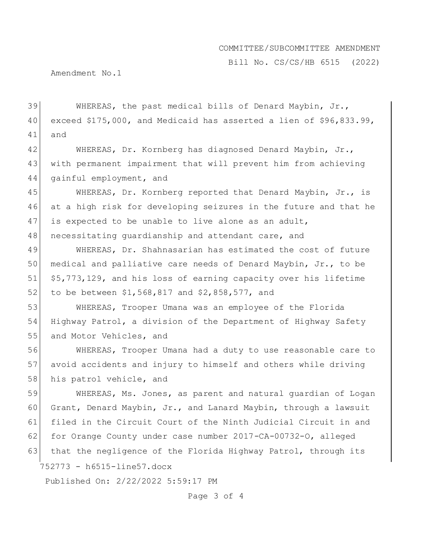Bill No. CS/CS/HB 6515 (2022)

Amendment No.1

39 WHEREAS, the past medical bills of Denard Maybin, Jr., 40 exceed \$175,000, and Medicaid has asserted a lien of \$96,833.99, 41 and

42 WHEREAS, Dr. Kornberg has diagnosed Denard Maybin, Jr., 43 with permanent impairment that will prevent him from achieving 44 gainful employment, and

45 WHEREAS, Dr. Kornberg reported that Denard Maybin, Jr., is 46 at a high risk for developing seizures in the future and that he 47 is expected to be unable to live alone as an adult, 48 necessitating quardianship and attendant care, and

 WHEREAS, Dr. Shahnasarian has estimated the cost of future medical and palliative care needs of Denard Maybin, Jr., to be \$5,773,129, and his loss of earning capacity over his lifetime 52 to be between \$1,568,817 and \$2,858,577, and

53 WHEREAS, Trooper Umana was an employee of the Florida 54 Highway Patrol, a division of the Department of Highway Safety 55 and Motor Vehicles, and

56 WHEREAS, Trooper Umana had a duty to use reasonable care to 57 avoid accidents and injury to himself and others while driving 58 his patrol vehicle, and

752773 - h6515-line57.docx 59 WHEREAS, Ms. Jones, as parent and natural guardian of Logan 60 Grant, Denard Maybin, Jr., and Lanard Maybin, through a lawsuit 61 filed in the Circuit Court of the Ninth Judicial Circuit in and 62 for Orange County under case number 2017-CA-00732-O, alleged 63 that the negligence of the Florida Highway Patrol, through its

Published On: 2/22/2022 5:59:17 PM

Page 3 of 4